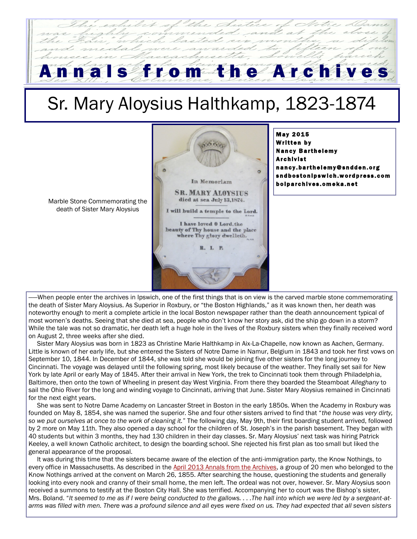## S from the Archive

## Sr. Mary Aloysius Halthkamp, 1823-1874



**May 2015** Written by **Nancy Barthelemy Archivist** nancy.barthelemy@sndden.org snd b ost on I p sw l ch . w or d p r ess. c om b olparch ives. om eka.net

Marble Stone Commemorating the death of Sister Mary Aloysius

——When people enter the archives in Ipswich, one of the first things that is on view is the carved marble stone commemorating the death of Sister Mary Aloysius. As Superior in Roxbury, or "the Boston Highlands," as it was known then, her death was noteworthy enough to merit a complete article in the local Boston newspaper rather than the death announcement typical of most women's deaths. Seeing that she died at sea, people who don't know her story ask, did the ship go down in a storm? While the tale was not so dramatic, her death left a huge hole in the lives of the Roxbury sisters when they finally received word on August 2, three weeks after she died.

 Sister Mary Aloysius was born in 1823 as Christine Marie Halthkamp in Aix-La-Chapelle, now known as Aachen, Germany. Little is known of her early life, but she entered the Sisters of Notre Dame in Namur, Belgium in 1843 and took her first vows on September 10, 1844. In December of 1844, she was told she would be joining five other sisters for the long journey to Cincinnati. The voyage was delayed until the following spring, most likely because of the weather. They finally set sail for New York by late April or early May of 1845. After their arrival in New York, the trek to Cincinnati took them through Philadelphia, Baltimore, then onto the town of Wheeling in present day West Virginia. From there they boarded the Steamboat *Alleghany* to sail the Ohio River for the long and winding voyage to Cincinnati, arriving that June. Sister Mary Aloysius remained in Cincinnati for the next eight years.

 She was sent to Notre Dame Academy on Lancaster Street in Boston in the early 1850s. When the Academy in Roxbury was founded on May 8, 1854, she was named the superior. She and four other sisters arrived to find that "*the house was very dirty, so we put ourselves at once to the work of cleaning it.*" The following day, May 9th, their first boarding student arrived, followed by 2 more on May 11th. They also opened a day school for the children of St. Joseph's in the parish basement. They began with 40 students but within 3 months, they had 130 children in their day classes. Sr. Mary Aloysius' next task was hiring Patrick Keeley, a well known Catholic architect, to design the boarding school. She rejected his first plan as too small but liked the general appearance of the proposal.

 It was during this time that the sisters became aware of the election of the anti-immigration party, the Know Nothings, to every office in Massachusetts. As described in the [April 2013 Annals from the Archives,](https://sndbostonipswich.files.wordpress.com/2014/03/annals-from-the-archives-april-2013.pdf) a group of 20 men who belonged to the Know Nothings arrived at the convent on March 26, 1855. After searching the house, questioning the students and generally looking into every nook and cranny of their small home, the men left. The ordeal was not over, however. Sr. Mary Aloysius soon received a summons to testify at the Boston City Hall. She was terrified. Accompanying her to court was the Bishop's sister, Mrs. Boland. "*It seemed to me as if I were being conducted to the gallows. . . .The hall into which we were led by a sergeant-atarms was filled with men. There was a profound silence and all eyes were fixed on us. They had expected that all seven sisters*